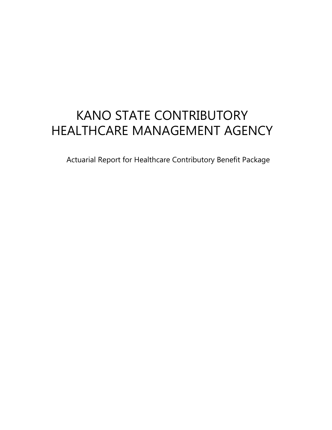# KANO STATE CONTRIBUTORY HEALTHCARE MANAGEMENT AGENCY

Actuarial Report for Healthcare Contributory Benefit Package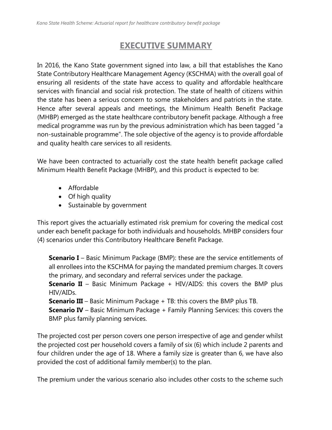### **EXECUTIVE SUMMARY**

<span id="page-1-0"></span>In 2016, the Kano State government signed into law, a bill that establishes the Kano State Contributory Healthcare Management Agency (KSCHMA) with the overall goal of ensuring all residents of the state have access to quality and affordable healthcare services with financial and social risk protection. The state of health of citizens within the state has been a serious concern to some stakeholders and patriots in the state. Hence after several appeals and meetings, the Minimum Health Benefit Package (MHBP) emerged as the state healthcare contributory benefit package. Although a free medical programme was run by the previous administration which has been tagged "a non-sustainable programme". The sole objective of the agency is to provide affordable and quality health care services to all residents.

We have been contracted to actuarially cost the state health benefit package called Minimum Health Benefit Package (MHBP), and this product is expected to be:

- Affordable
- Of high quality
- Sustainable by government

This report gives the actuarially estimated risk premium for covering the medical cost under each benefit package for both individuals and households. MHBP considers four (4) scenarios under this Contributory Healthcare Benefit Package.

**Scenario I** – Basic Minimum Package (BMP): these are the service entitlements of all enrollees into the KSCHMA for paying the mandated premium charges. It covers the primary, and secondary and referral services under the package.

**Scenario II** – Basic Minimum Package + HIV/AIDS: this covers the BMP plus HIV/AIDs.

**Scenario III** – Basic Minimum Package + TB: this covers the BMP plus TB.

**Scenario IV** – Basic Minimum Package + Family Planning Services: this covers the BMP plus family planning services.

The projected cost per person covers one person irrespective of age and gender whilst the projected cost per household covers a family of six (6) which include 2 parents and four children under the age of 18. Where a family size is greater than 6, we have also provided the cost of additional family member(s) to the plan.

The premium under the various scenario also includes other costs to the scheme such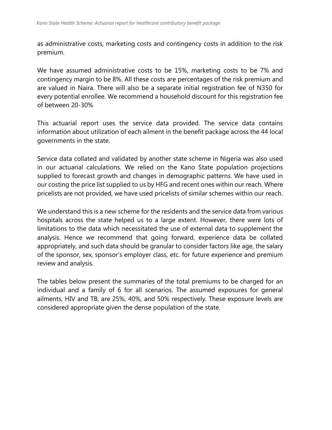as administrative costs, marketing costs and contingency costs in addition to the risk premium.

We have assumed administrative costs to be 15%, marketing costs to be 7% and contingency margin to be 8%. All these costs are percentages of the risk premium and are valued in Naira. There will also be a separate initial registration fee of N350 for every potential enrollee. We recommend a household discount for this registration fee of between 20-30%

This actuarial report uses the service data provided. The service data contains information about utilization of each ailment in the benefit package across the 44 local governments in the state.

Service data collated and validated by another state scheme in Nigeria was also used in our actuarial calculations. We relied on the Kano State population projections supplied to forecast growth and changes in demographic patterns. We have used in our costing the price list supplied to us by HFG and recent ones within our reach. Where pricelists are not provided, we have used pricelists of similar schemes within our reach.

We understand this is a new scheme for the residents and the service data from various hospitals across the state helped us to a large extent. However, there were lots of limitations to the data which necessitated the use of external data to supplement the analysis. Hence we recommend that going forward, experience data be collated appropriately, and such data should be granular to consider factors like age, the salary of the sponsor, sex, sponsor's employer class, etc. for future experience and premium review and analysis.

The tables below present the summaries of the total premiums to be charged for an individual and a family of 6 for all scenarios. The assumed exposures for general ailments, HIV and TB, are 25%, 40%, and 50% respectively. These exposure levels are considered appropriate given the dense population of the state.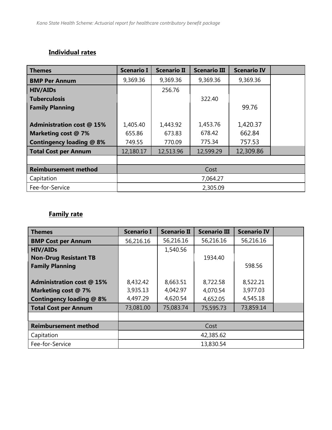### **Individual rates**

| <b>Themes</b>                    | <b>Scenario I</b> | <b>Scenario II</b> | <b>Scenario III</b> | <b>Scenario IV</b> |  |
|----------------------------------|-------------------|--------------------|---------------------|--------------------|--|
| <b>BMP Per Annum</b>             | 9,369.36          | 9,369.36           | 9,369.36            | 9,369.36           |  |
| <b>HIV/AIDs</b>                  |                   | 256.76             |                     |                    |  |
| <b>Tuberculosis</b>              |                   |                    | 322.40              |                    |  |
| <b>Family Planning</b>           |                   |                    |                     | 99.76              |  |
|                                  |                   |                    |                     |                    |  |
| <b>Administration cost @ 15%</b> | 1,405.40          | 1,443.92           | 1,453.76            | 1,420.37           |  |
| Marketing cost @ 7%              | 655.86            | 673.83             | 678.42              | 662.84             |  |
| <b>Contingency loading @ 8%</b>  | 749.55            | 770.09             | 775.34              | 757.53             |  |
| <b>Total Cost per Annum</b>      | 12,180.17         | 12,513.96          | 12,599.29           | 12,309.86          |  |
|                                  |                   |                    |                     |                    |  |
| <b>Reimbursement method</b>      |                   |                    | Cost                |                    |  |
| Capitation                       | 7,064.27          |                    |                     |                    |  |
| Fee-for-Service                  |                   |                    | 2,305.09            |                    |  |

### **Family rate**

| <b>Themes</b>                    | <b>Scenario I</b> | <b>Scenario II</b> | <b>Scenario III</b> | <b>Scenario IV</b> |  |  |
|----------------------------------|-------------------|--------------------|---------------------|--------------------|--|--|
| <b>BMP Cost per Annum</b>        | 56,216.16         | 56,216.16          | 56,216.16           | 56,216.16          |  |  |
| <b>HIV/AIDs</b>                  |                   | 1,540.56           |                     |                    |  |  |
| <b>Non-Drug Resistant TB</b>     |                   |                    | 1934.40             |                    |  |  |
| <b>Family Planning</b>           |                   |                    |                     | 598.56             |  |  |
|                                  |                   |                    |                     |                    |  |  |
| <b>Administration cost @ 15%</b> | 8,432.42          | 8,663.51           | 8,722.58            | 8,522.21           |  |  |
| Marketing cost @ 7%              | 3,935.13          | 4,042.97           | 4,070.54            | 3,977.03           |  |  |
| <b>Contingency loading @ 8%</b>  | 4,497.29          | 4,620.54           | 4,652.05            | 4,545.18           |  |  |
| <b>Total Cost per Annum</b>      | 73,081.00         | 75,083.74          | 75,595.73           | 73,859.14          |  |  |
|                                  |                   |                    |                     |                    |  |  |
| <b>Reimbursement method</b>      | Cost              |                    |                     |                    |  |  |
| Capitation                       | 42,385.62         |                    |                     |                    |  |  |
| Fee-for-Service                  |                   |                    | 13,830.54           |                    |  |  |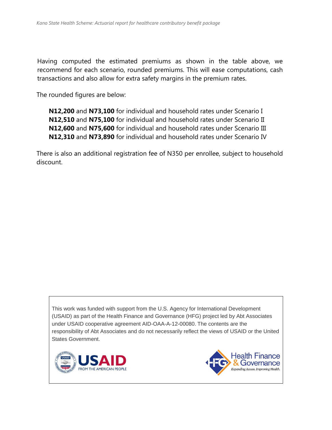Having computed the estimated premiums as shown in the table above, we recommend for each scenario, rounded premiums. This will ease computations, cash transactions and also allow for extra safety margins in the premium rates.

The rounded figures are below:

**N12,200** and **N73,100** for individual and household rates under Scenario I **N12,510** and **N75,100** for individual and household rates under Scenario II **N12,600** and **N75,600** for individual and household rates under Scenario III **N12,310** and **N73,890** for individual and household rates under Scenario IV

There is also an additional registration fee of N350 per enrollee, subject to household discount.

This work was funded with support from the U.S. Agency for International Development (USAID) as part of the Health Finance and Governance (HFG) project led by Abt Associates under USAID cooperative agreement AID-OAA-A-12-00080. The contents are the responsibility of Abt Associates and do not necessarily reflect the views of USAID or the United States Government.



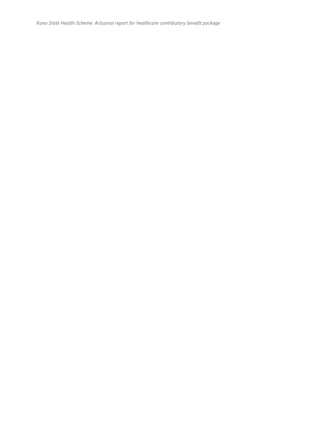*Kano State Health Scheme: Actuarial report for healthcare contributory benefit package*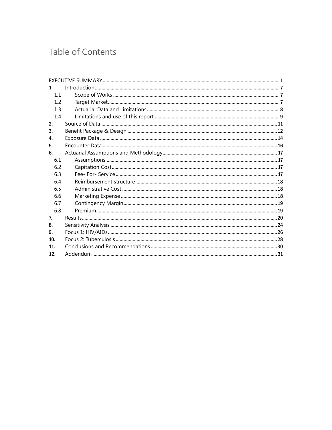# Table of Contents

| 1               |  |
|-----------------|--|
| 1.1             |  |
| 1.2             |  |
| 1.3             |  |
| 14              |  |
| 2.              |  |
| 3.              |  |
| 4.              |  |
| 5.              |  |
| 6.              |  |
| 6.1             |  |
| 6.2             |  |
| 6.3             |  |
| 64              |  |
| 6.5             |  |
| 6.6             |  |
| 6.7             |  |
| 6.8             |  |
| 7 <sub>1</sub>  |  |
| 8.              |  |
| 9.              |  |
| 10 <sub>1</sub> |  |
| 11.             |  |
| 12.             |  |
|                 |  |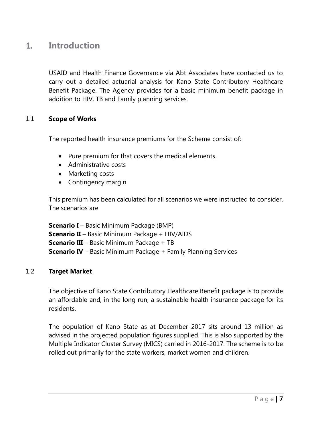### <span id="page-7-0"></span>1. **Introduction**

USAID and Health Finance Governance via Abt Associates have contacted us to carry out a detailed actuarial analysis for Kano State Contributory Healthcare Benefit Package. The Agency provides for a basic minimum benefit package in addition to HIV, TB and Family planning services.

#### <span id="page-7-1"></span>1.1 **Scope of Works**

The reported health insurance premiums for the Scheme consist of:

- Pure premium for that covers the medical elements.
- Administrative costs
- Marketing costs
- Contingency margin

This premium has been calculated for all scenarios we were instructed to consider. The scenarios are

**Scenario I** – Basic Minimum Package (BMP) **Scenario II** – Basic Minimum Package + HIV/AIDS **Scenario III** – Basic Minimum Package + TB **Scenario IV** – Basic Minimum Package + Family Planning Services

#### <span id="page-7-2"></span>1.2 **Target Market**

The objective of Kano State Contributory Healthcare Benefit package is to provide an affordable and, in the long run, a sustainable health insurance package for its residents.

The population of Kano State as at December 2017 sits around 13 million as advised in the projected population figures supplied. This is also supported by the Multiple Indicator Cluster Survey (MICS) carried in 2016-2017. The scheme is to be rolled out primarily for the state workers, market women and children.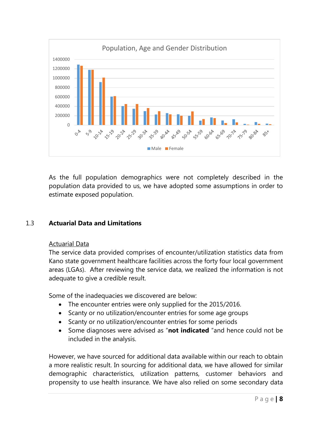

As the full population demographics were not completely described in the population data provided to us, we have adopted some assumptions in order to estimate exposed population.

#### <span id="page-8-0"></span>1.3 **Actuarial Data and Limitations**

#### Actuarial Data

The service data provided comprises of encounter/utilization statistics data from Kano state government healthcare facilities across the forty four local government areas (LGAs). After reviewing the service data, we realized the information is not adequate to give a credible result.

Some of the inadequacies we discovered are below:

- The encounter entries were only supplied for the 2015/2016.
- Scanty or no utilization/encounter entries for some age groups
- Scanty or no utilization/encounter entries for some periods
- Some diagnoses were advised as "**not indicated** "and hence could not be included in the analysis.

However, we have sourced for additional data available within our reach to obtain a more realistic result. In sourcing for additional data, we have allowed for similar demographic characteristics, utilization patterns, customer behaviors and propensity to use health insurance. We have also relied on some secondary data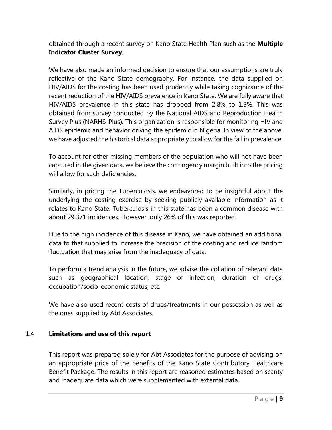obtained through a recent survey on Kano State Health Plan such as the **Multiple Indicator Cluster Survey**.

We have also made an informed decision to ensure that our assumptions are truly reflective of the Kano State demography. For instance, the data supplied on HIV/AIDS for the costing has been used prudently while taking cognizance of the recent reduction of the HIV/AIDS prevalence in Kano State. We are fully aware that HIV/AIDS prevalence in this state has dropped from 2.8% to 1.3%. This was obtained from survey conducted by the National AIDS and Reproduction Health Survey Plus (NARHS-Plus). This organization is responsible for monitoring HIV and AIDS epidemic and behavior driving the epidemic in Nigeria. In view of the above, we have adjusted the historical data appropriately to allow for the fall in prevalence.

To account for other missing members of the population who will not have been captured in the given data, we believe the contingency margin built into the pricing will allow for such deficiencies.

Similarly, in pricing the Tuberculosis, we endeavored to be insightful about the underlying the costing exercise by seeking publicly available information as it relates to Kano State. Tuberculosis in this state has been a common disease with about 29,371 incidences. However, only 26% of this was reported.

Due to the high incidence of this disease in Kano, we have obtained an additional data to that supplied to increase the precision of the costing and reduce random fluctuation that may arise from the inadequacy of data.

To perform a trend analysis in the future, we advise the collation of relevant data such as geographical location, stage of infection, duration of drugs, occupation/socio-economic status, etc.

We have also used recent costs of drugs/treatments in our possession as well as the ones supplied by Abt Associates.

#### <span id="page-9-0"></span>1.4 **Limitations and use of this report**

This report was prepared solely for Abt Associates for the purpose of advising on an appropriate price of the benefits of the Kano State Contributory Healthcare Benefit Package. The results in this report are reasoned estimates based on scanty and inadequate data which were supplemented with external data.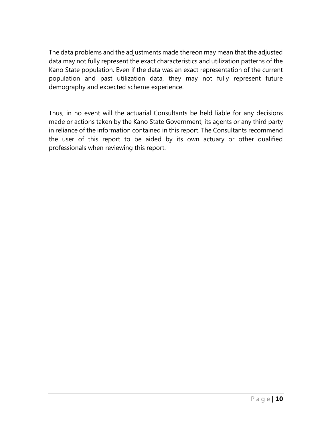The data problems and the adjustments made thereon may mean that the adjusted data may not fully represent the exact characteristics and utilization patterns of the Kano State population. Even if the data was an exact representation of the current population and past utilization data, they may not fully represent future demography and expected scheme experience.

Thus, in no event will the actuarial Consultants be held liable for any decisions made or actions taken by the Kano State Government, its agents or any third party in reliance of the information contained in this report. The Consultants recommend the user of this report to be aided by its own actuary or other qualified professionals when reviewing this report.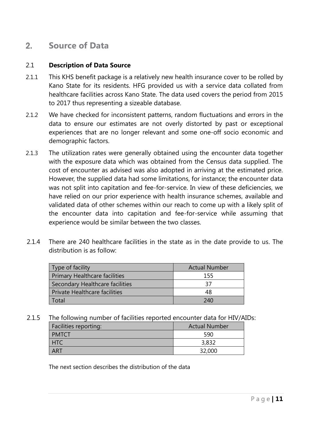### <span id="page-11-0"></span>2. **Source of Data**

#### 2.1 **Description of Data Source**

- 2.1.1 This KHS benefit package is a relatively new health insurance cover to be rolled by Kano State for its residents. HFG provided us with a service data collated from healthcare facilities across Kano State. The data used covers the period from 2015 to 2017 thus representing a sizeable database.
- 2.1.2 We have checked for inconsistent patterns, random fluctuations and errors in the data to ensure our estimates are not overly distorted by past or exceptional experiences that are no longer relevant and some one-off socio economic and demographic factors.
- 2.1.3 The utilization rates were generally obtained using the encounter data together with the exposure data which was obtained from the Census data supplied. The cost of encounter as advised was also adopted in arriving at the estimated price. However, the supplied data had some limitations, for instance; the encounter data was not split into capitation and fee-for-service. In view of these deficiencies, we have relied on our prior experience with health insurance schemes, available and validated data of other schemes within our reach to come up with a likely split of the encounter data into capitation and fee-for-service while assuming that experience would be similar between the two classes.
- 2.1.4 There are 240 healthcare facilities in the state as in the date provide to us. The distribution is as follow:

| Type of facility                | <b>Actual Number</b> |
|---------------------------------|----------------------|
| Primary Healthcare facilities   | 155                  |
| Secondary Healthcare facilities | 37                   |
| Private Healthcare facilities   | 48                   |
| l Total                         | 240                  |

2.1.5 The following number of facilities reported encounter data for HIV/AIDs:

| Facilities reporting: | <b>Actual Number</b> |
|-----------------------|----------------------|
| <b>PMTCT</b>          | 590                  |
| <b>HTC</b>            | 3,832                |
| ART                   | 32,000               |

The next section describes the distribution of the data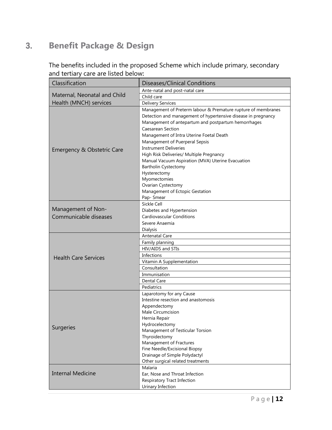# 3. **Benefit Package & Design**

<span id="page-12-0"></span>The benefits included in the proposed Scheme which include primary, secondary and tertiary care are listed below:

| Classification               | Diseases/Clinical Conditions                                  |  |  |
|------------------------------|---------------------------------------------------------------|--|--|
|                              | Ante-natal and post-natal care                                |  |  |
| Maternal, Neonatal and Child | Child care                                                    |  |  |
| Health (MNCH) services       | <b>Delivery Services</b>                                      |  |  |
|                              | Management of Preterm labour & Premature rupture of membranes |  |  |
|                              | Detection and management of hypertensive disease in pregnancy |  |  |
|                              | Management of antepartum and postpartum hemorrhages           |  |  |
|                              | <b>Caesarean Section</b>                                      |  |  |
|                              | Management of Intra Uterine Foetal Death                      |  |  |
|                              | Management of Puerperal Sepsis                                |  |  |
|                              | <b>Instrument Deliveries</b>                                  |  |  |
| Emergency & Obstetric Care   | High Risk Deliveries/ Multiple Pregnancy                      |  |  |
|                              | Manual Vacuum Aspiration (MVA) Uterine Evacuation             |  |  |
|                              | Bartholin Cystectomy                                          |  |  |
|                              | Hysterectomy                                                  |  |  |
|                              | Myomectomies                                                  |  |  |
|                              | Ovarian Cystectomy                                            |  |  |
|                              | Management of Ectopic Gestation                               |  |  |
|                              | Pap-Smear                                                     |  |  |
|                              | Sickle Cell                                                   |  |  |
| Management of Non-           | Diabetes and Hypertension                                     |  |  |
| Communicable diseases        | <b>Cardiovascular Conditions</b>                              |  |  |
|                              | Severe Anaemia                                                |  |  |
|                              | <b>Dialysis</b>                                               |  |  |
|                              | Antenatal Care                                                |  |  |
|                              | Family planning                                               |  |  |
|                              | HIV/AIDS and STIs                                             |  |  |
|                              | Infections                                                    |  |  |
| <b>Health Care Services</b>  | Vitamin A Supplementation                                     |  |  |
|                              | Consultation                                                  |  |  |
|                              | Immunisation                                                  |  |  |
|                              | <b>Dental Care</b>                                            |  |  |
|                              | Pediatrics                                                    |  |  |
|                              | Laparotomy for any Cause                                      |  |  |
|                              | Intestine resection and anastomosis                           |  |  |
|                              | Appendectomy                                                  |  |  |
|                              | Male Circumcision                                             |  |  |
|                              | Hernia Repair                                                 |  |  |
|                              | Hydrocelectomy                                                |  |  |
| <b>Surgeries</b>             | Management of Testicular Torsion                              |  |  |
|                              | Thyroidectomy                                                 |  |  |
|                              | Management of Fractures                                       |  |  |
|                              | Fine Needle/Excisional Biopsy                                 |  |  |
|                              | Drainage of Simple Polydactyl                                 |  |  |
|                              | Other surgical related treatments                             |  |  |
|                              | Malaria                                                       |  |  |
| <b>Internal Medicine</b>     | Ear, Nose and Throat Infection                                |  |  |
|                              | Respiratory Tract Infection                                   |  |  |
|                              | Urinary Infection                                             |  |  |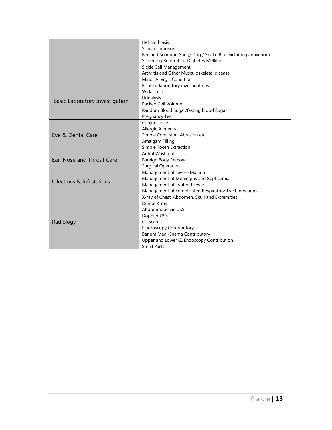|                                       | Helminthiasis<br>Schistosomosias<br>Bee and Scorpion Sting/ Dog / Snake Bite excluding antivenom<br>Screening Referral for Diabetes Mellitus<br>Sickle Cell Management<br>Arthritis and Other Musculoskeletal disease<br>Minor Allergic Condition      |
|---------------------------------------|--------------------------------------------------------------------------------------------------------------------------------------------------------------------------------------------------------------------------------------------------------|
| <b>Basic Laboratory Investigation</b> | Routine laboratory investigations<br><b>Widal Test</b><br>Urinalysis<br>Packed Cell Volume<br>Random Blood Sugar/fasting blood Sugar<br>Pregnancy Test                                                                                                 |
| Eye & Dental Care                     | Conjunctivitis<br><b>Allergic Ailments</b><br>Simple Contusion, Abrasion etc<br>Amalgam Filling<br>Simple Tooth Extraction                                                                                                                             |
| Ear, Nose and Throat Care             | Antral Wash out<br>Foreign Body Removal<br><b>Surgical Operation</b>                                                                                                                                                                                   |
| Infections & Infestations             | Management of severe Malaria<br>Management of Meningitis and Septicemia<br>Management of Typhoid Fever<br>Management of complicated Respiratory Tract Infections                                                                                       |
| Radiology                             | X-ray of Chest, Abdomen, Skull and Extremities<br>Dental X-ray<br>Abdominopelvic USS<br>Doppler USS<br>CT Scan<br><b>Fluoroscopy Contributory</b><br>Barium Meal/Enema Contributory<br>Upper and Lower GI Endoscopy Contribution<br><b>Small Parts</b> |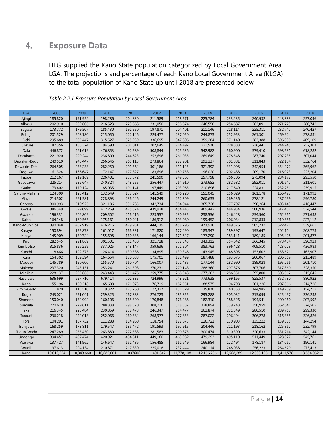### <span id="page-14-0"></span>4. **Exposure Data**

HFG supplied the Kano State population categorized by Local Government Area, LGA. The projections and percentage of each Kano Local Government Area (KLGA) to the total population of Kano State up until 2018 are presented below.

| 2008<br>2009<br>2010<br>2012<br>2013<br>2014<br>2015<br><b>LGA</b><br>2011<br>2016<br>2017<br>2018<br>Ajingi<br>185,820<br>191,952<br>198,286<br>204,830<br>211,589<br>218,571<br>225,784<br>233,235<br>240,932<br>248,883<br>257,096<br>209,606<br>231,050<br>246,550<br>263,091<br>280,742<br>Albasu<br>202,910<br>216,523<br>223,668<br>238,674<br>254,687<br>271,773<br>191,550<br>204,401<br>211,146<br>218,114<br>225,311<br>232,747<br>240,427<br>Bagwai<br>173,772<br>179,507<br>185,430<br>197,871<br>Bebeji<br>201.529<br>208,180<br>215,050<br>222.146<br>229,477<br>237,050<br>244,873<br>252,953<br>261,301<br>269,924<br>278,831<br>Bichi<br>305,447<br>295,689<br>315,527<br>325,939<br>336,695<br>347,806<br>359,284<br>371,140<br>383,388<br>396,039<br>409,109<br><b>Bunkure</b><br>182,356<br>188,374<br>194,590<br>201,011<br>207,645<br>214,497<br>221,576<br>228,888<br>236,441<br>244,243<br>252,303<br>Dala<br>618,282<br>446,872<br>461,619<br>476,853<br>492,589<br>508,844<br>525,636<br>542,982<br>560,900<br>579,410<br>598,531 |
|--------------------------------------------------------------------------------------------------------------------------------------------------------------------------------------------------------------------------------------------------------------------------------------------------------------------------------------------------------------------------------------------------------------------------------------------------------------------------------------------------------------------------------------------------------------------------------------------------------------------------------------------------------------------------------------------------------------------------------------------------------------------------------------------------------------------------------------------------------------------------------------------------------------------------------------------------------------------------------------------------------------------------------------------------------------|
|                                                                                                                                                                                                                                                                                                                                                                                                                                                                                                                                                                                                                                                                                                                                                                                                                                                                                                                                                                                                                                                              |
|                                                                                                                                                                                                                                                                                                                                                                                                                                                                                                                                                                                                                                                                                                                                                                                                                                                                                                                                                                                                                                                              |
|                                                                                                                                                                                                                                                                                                                                                                                                                                                                                                                                                                                                                                                                                                                                                                                                                                                                                                                                                                                                                                                              |
|                                                                                                                                                                                                                                                                                                                                                                                                                                                                                                                                                                                                                                                                                                                                                                                                                                                                                                                                                                                                                                                              |
|                                                                                                                                                                                                                                                                                                                                                                                                                                                                                                                                                                                                                                                                                                                                                                                                                                                                                                                                                                                                                                                              |
|                                                                                                                                                                                                                                                                                                                                                                                                                                                                                                                                                                                                                                                                                                                                                                                                                                                                                                                                                                                                                                                              |
|                                                                                                                                                                                                                                                                                                                                                                                                                                                                                                                                                                                                                                                                                                                                                                                                                                                                                                                                                                                                                                                              |
| 221,920<br>229,244<br>236,809                                                                                                                                                                                                                                                                                                                                                                                                                                                                                                                                                                                                                                                                                                                                                                                                                                                                                                                                                                                                                                |
| Dambatta<br>244,623<br>252,696<br>269,649<br>278,548<br>297,235<br>307,044<br>261,035<br>287,740                                                                                                                                                                                                                                                                                                                                                                                                                                                                                                                                                                                                                                                                                                                                                                                                                                                                                                                                                             |
| 240,510<br>248,447<br>273,864<br>282,901<br>292,237<br>322,134<br>332,764<br>Dawakin-Kudu<br>256,646<br>265,115<br>301,881<br>311,843                                                                                                                                                                                                                                                                                                                                                                                                                                                                                                                                                                                                                                                                                                                                                                                                                                                                                                                        |
| 365,962<br>Dawakin-Tofa<br>264,505<br>273,233<br>282,250<br>291.564<br>301.186<br>311.125<br>321,392<br>331,998<br>342,954<br>354,272                                                                                                                                                                                                                                                                                                                                                                                                                                                                                                                                                                                                                                                                                                                                                                                                                                                                                                                        |
| 161,324<br>166,647<br>172,147<br>177,827<br>183,696<br>189,758<br>196,020<br>202,488<br>209,170<br>216,073<br>223,204<br>Doguwa                                                                                                                                                                                                                                                                                                                                                                                                                                                                                                                                                                                                                                                                                                                                                                                                                                                                                                                              |
| Fagge<br>212,167<br>219,169<br>226,401<br>233,872<br>241,590<br>249,563<br>257,798<br>266,306<br>275,094<br>284,172<br>293,550                                                                                                                                                                                                                                                                                                                                                                                                                                                                                                                                                                                                                                                                                                                                                                                                                                                                                                                               |
| 225.214<br>232.647<br>248,255<br>292.011<br>Gabasawa<br>240,324<br>256,447<br>264,910<br>273,652<br>282,682<br>301.647<br>311,601                                                                                                                                                                                                                                                                                                                                                                                                                                                                                                                                                                                                                                                                                                                                                                                                                                                                                                                            |
| Garko<br>173,402<br>179,124<br>191,141<br>197,449<br>203,965<br>232,251<br>185,035<br>210,696<br>217,649<br>224,831<br>239,915                                                                                                                                                                                                                                                                                                                                                                                                                                                                                                                                                                                                                                                                                                                                                                                                                                                                                                                               |
| Garum-Mallam<br>124,309<br>128,412<br>132,649<br>137,027<br>141,549<br>146,220<br>151,045<br>156,029<br>161,178<br>166,497<br>171,992                                                                                                                                                                                                                                                                                                                                                                                                                                                                                                                                                                                                                                                                                                                                                                                                                                                                                                                        |
| 214,502<br>221,581<br>228,893<br>236,446<br>244,249<br>252,309<br>260,635<br>269,236<br>278,121<br>287,299<br>296,780<br>Gaya                                                                                                                                                                                                                                                                                                                                                                                                                                                                                                                                                                                                                                                                                                                                                                                                                                                                                                                                |
| Gazewa<br>300,993<br>310,925<br>321,186<br>331,785<br>342,734<br>354,044<br>365,728<br>377,797<br>390,264<br>403,143<br>416,447                                                                                                                                                                                                                                                                                                                                                                                                                                                                                                                                                                                                                                                                                                                                                                                                                                                                                                                              |
| Gwale<br>386,349<br>399,099<br>412,269<br>425,874<br>439,928<br>454,445<br>517,467<br>534,544<br>469,442<br>484,934<br>500,936                                                                                                                                                                                                                                                                                                                                                                                                                                                                                                                                                                                                                                                                                                                                                                                                                                                                                                                               |
| Gwarzo<br>196,331<br>202,809<br>209,502<br>216,416<br>223,557<br>230,935<br>238,556<br>246,428<br>254,560<br>262,961<br>271,638                                                                                                                                                                                                                                                                                                                                                                                                                                                                                                                                                                                                                                                                                                                                                                                                                                                                                                                              |
| Kabo<br>164,148<br>169,565<br>175,161<br>180,941<br>186,912<br>193,080<br>199,452<br>206,034<br>212,833<br>219,856<br>227,112                                                                                                                                                                                                                                                                                                                                                                                                                                                                                                                                                                                                                                                                                                                                                                                                                                                                                                                                |
| Kano-Municipal<br>390,048<br>402,919<br>416,216<br>429,951<br>444,139<br>458,796<br>473,936<br>489,576<br>505,732<br>522,421<br>539,661                                                                                                                                                                                                                                                                                                                                                                                                                                                                                                                                                                                                                                                                                                                                                                                                                                                                                                                      |
| 150,894<br>155,873<br>161,017<br>166,331<br>171,820<br>177,490<br>183,347<br>189,397<br>195,647<br>202,104<br>208,773<br>Karaye                                                                                                                                                                                                                                                                                                                                                                                                                                                                                                                                                                                                                                                                                                                                                                                                                                                                                                                              |
| Kibiya<br>145,909<br>150,724<br>155,698<br>160,836<br>166,144<br>177,290<br>189,185<br>195,428<br>201,877<br>171,627<br>183,141                                                                                                                                                                                                                                                                                                                                                                                                                                                                                                                                                                                                                                                                                                                                                                                                                                                                                                                              |
| Kiru<br>282,545<br>291,869<br>301,501<br>311,450<br>321,728<br>332,345<br>343,312<br>354,642<br>366,345<br>378,434<br>390,923                                                                                                                                                                                                                                                                                                                                                                                                                                                                                                                                                                                                                                                                                                                                                                                                                                                                                                                                |
| 315,836<br>326,259<br>359,636<br>371,504<br>436,983<br>Kumbotso<br>337,025<br>348,147<br>383,763<br>396,428<br>409,510<br>423,023                                                                                                                                                                                                                                                                                                                                                                                                                                                                                                                                                                                                                                                                                                                                                                                                                                                                                                                            |
| 122,375<br>126,414<br>130,586<br>134,895<br>139,346<br>143,945<br>153,602<br>163,907<br>Kunchi<br>118,466<br>148,695<br>158,671                                                                                                                                                                                                                                                                                                                                                                                                                                                                                                                                                                                                                                                                                                                                                                                                                                                                                                                              |
| Kura<br>159,394<br>175,701<br>213,489<br>154,302<br>164,654<br>170,088<br>181,499<br>187,488<br>193,675<br>200,067<br>206,669                                                                                                                                                                                                                                                                                                                                                                                                                                                                                                                                                                                                                                                                                                                                                                                                                                                                                                                                |
| 150,600<br>155,570<br>166,007<br>182,990<br>189,028<br>195,266<br>201,710<br>Madobi<br>145,789<br>160,704<br>171,485<br>177,144                                                                                                                                                                                                                                                                                                                                                                                                                                                                                                                                                                                                                                                                                                                                                                                                                                                                                                                              |
| Makoda<br>237,320<br>253,241<br>261,598<br>270,231<br>279,148<br>288,360<br>297,876<br>317,860<br>328,350<br>245,151<br>307,706                                                                                                                                                                                                                                                                                                                                                                                                                                                                                                                                                                                                                                                                                                                                                                                                                                                                                                                              |
| Minjibir<br>228,137<br>235,666<br>243,443<br>251,476<br>259,775<br>268,348<br>277,203<br>286,351<br>295,800<br>305,562<br>315,645                                                                                                                                                                                                                                                                                                                                                                                                                                                                                                                                                                                                                                                                                                                                                                                                                                                                                                                            |
| 636,699<br>657,710<br>679,414<br>701,835<br>724,996<br>748,921<br>773,635<br>799,165<br>825,537<br>852,780<br>880,922<br>Nasarawa                                                                                                                                                                                                                                                                                                                                                                                                                                                                                                                                                                                                                                                                                                                                                                                                                                                                                                                            |
| Rano<br>155,196<br>160,318<br>165,608<br>171,073<br>176,719<br>182,551<br>188,575<br>194,798<br>201,226<br>207,866<br>214,726                                                                                                                                                                                                                                                                                                                                                                                                                                                                                                                                                                                                                                                                                                                                                                                                                                                                                                                                |
| Rimin-Gado<br>111,820<br>115,510<br>119,322<br>123,260<br>127,327<br>131,529<br>135,870<br>140,353<br>144,985<br>149,769<br>154,712                                                                                                                                                                                                                                                                                                                                                                                                                                                                                                                                                                                                                                                                                                                                                                                                                                                                                                                          |
| 243,021<br>251,041<br>259,325<br>267,883<br>276,723<br>285,855<br>295,288<br>315,099<br>325,497<br>336,238<br>Rogo<br>305,032                                                                                                                                                                                                                                                                                                                                                                                                                                                                                                                                                                                                                                                                                                                                                                                                                                                                                                                                |
| Shanono<br>154,992<br>160,106<br>170,848<br>176,486<br>182,310<br>188,326<br>200,960<br>207,592<br>150,040<br>165,390<br>194,541                                                                                                                                                                                                                                                                                                                                                                                                                                                                                                                                                                                                                                                                                                                                                                                                                                                                                                                             |
| 270,679<br>279,611<br>298,370<br>308,216<br>318,387<br>328,894<br>350,959<br>362,541<br>374,505<br>Sumaila<br>288,838<br>339,748                                                                                                                                                                                                                                                                                                                                                                                                                                                                                                                                                                                                                                                                                                                                                                                                                                                                                                                             |
| Takai<br>299,330<br>216,345<br>223,484<br>230,859<br>238,478<br>246,347<br>254,477<br>262,874<br>271,549<br>280,510<br>289,767                                                                                                                                                                                                                                                                                                                                                                                                                                                                                                                                                                                                                                                                                                                                                                                                                                                                                                                               |
| Tarauni<br>236,218<br>244,013<br>252,066<br>260,384<br>268,977<br>277,853<br>287,022<br>296,494<br>306,278<br>316,385<br>326,826                                                                                                                                                                                                                                                                                                                                                                                                                                                                                                                                                                                                                                                                                                                                                                                                                                                                                                                             |
| Tofa<br>104,291<br>107,732<br>111,288<br>114,960<br>118,754<br>122,673<br>126,721<br>130,903<br>135,222<br>139,685<br>144,294                                                                                                                                                                                                                                                                                                                                                                                                                                                                                                                                                                                                                                                                                                                                                                                                                                                                                                                                |
| 232,799<br>168,259<br>173,811<br>179,547<br>185,472<br>191,593<br>197,915<br>204,446<br>211,193<br>218,162<br>225,362<br>Tsanyawa                                                                                                                                                                                                                                                                                                                                                                                                                                                                                                                                                                                                                                                                                                                                                                                                                                                                                                                            |
| Tudun-Wada<br>247,289<br>255,450<br>263,880<br>272,588<br>281,583<br>290,875<br>300,474<br>310,390<br>320,633<br>331,214<br>342,144                                                                                                                                                                                                                                                                                                                                                                                                                                                                                                                                                                                                                                                                                                                                                                                                                                                                                                                          |
| Ungongo<br>394,457<br>407.474<br>420,921<br>434,811<br>449,160<br>479,293<br>511,449<br>528,327<br>545,761<br>463,982<br>495,110                                                                                                                                                                                                                                                                                                                                                                                                                                                                                                                                                                                                                                                                                                                                                                                                                                                                                                                             |
| Warawa<br>146,647<br>151,486<br>156,485<br>166,984<br>172,494<br>178,187<br>184,067<br>190,141<br>137,427<br>141,962<br>161,649                                                                                                                                                                                                                                                                                                                                                                                                                                                                                                                                                                                                                                                                                                                                                                                                                                                                                                                              |
| Wudil<br>197,613<br>204,134<br>210,871<br>217,830<br>225,018<br>232,444<br>240,114<br>248,038<br>256,223<br>264,679<br>273,413                                                                                                                                                                                                                                                                                                                                                                                                                                                                                                                                                                                                                                                                                                                                                                                                                                                                                                                               |
| Kano<br>10,013,224<br>10,343,660<br>10,685,001<br>11037606<br>11,401,847<br>11,778,108<br>12,166,786<br>12,568,289<br>12,983,135<br>13,411,578<br>13,854,062                                                                                                                                                                                                                                                                                                                                                                                                                                                                                                                                                                                                                                                                                                                                                                                                                                                                                                 |

*Table 2.2.1 Exposure Population by Local Government Area*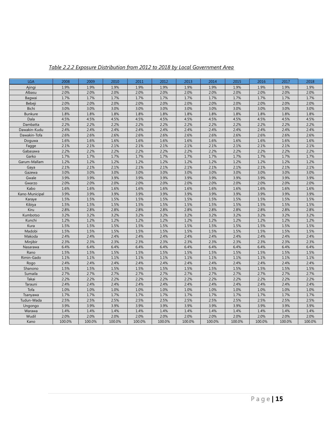| <b>LGA</b>     | 2008   | 2009   | 2010   | 2011   | 2012   | 2013   | 2014   | 2015   | 2016   | 2017   | 2018   |
|----------------|--------|--------|--------|--------|--------|--------|--------|--------|--------|--------|--------|
| Ajingi         | 1.9%   | 1.9%   | 1.9%   | 1.9%   | 1.9%   | 1.9%   | 1.9%   | 1.9%   | 1.9%   | 1.9%   | 1.9%   |
| Albasu         | 2.0%   | 2.0%   | 2.0%   | 2.0%   | 2.0%   | 2.0%   | 2.0%   | 2.0%   | 2.0%   | 2.0%   | 2.0%   |
| Bagwai         | 1.7%   | 1.7%   | 1.7%   | 1.7%   | 1.7%   | 1.7%   | 1.7%   | 1.7%   | 1.7%   | 1.7%   | 1.7%   |
| Bebeji         | 2.0%   | 2.0%   | 2.0%   | 2.0%   | 2.0%   | 2.0%   | 2.0%   | 2.0%   | 2.0%   | 2.0%   | 2.0%   |
| Bichi          | 3.0%   | 3.0%   | 3.0%   | 3.0%   | 3.0%   | 3.0%   | 3.0%   | 3.0%   | 3.0%   | 3.0%   | 3.0%   |
| Bunkure        | 1.8%   | 1.8%   | 1.8%   | 1.8%   | 1.8%   | 1.8%   | 1.8%   | 1.8%   | 1.8%   | 1.8%   | 1.8%   |
| Dala           | 4.5%   | 4.5%   | 4.5%   | 4.5%   | 4.5%   | 4.5%   | 4.5%   | 4.5%   | 4.5%   | 4.5%   | 4.5%   |
| Dambatta       | 2.2%   | 2.2%   | 2.2%   | 2.2%   | 2.2%   | 2.2%   | 2.2%   | 2.2%   | 2.2%   | 2.2%   | 2.2%   |
| Dawakin-Kudu   | 2.4%   | 2.4%   | 2.4%   | 2.4%   | 2.4%   | 2.4%   | 2.4%   | 2.4%   | 2.4%   | 2.4%   | 2.4%   |
| Dawakin-Tofa   | 2.6%   | 2.6%   | 2.6%   | 2.6%   | 2.6%   | 2.6%   | 2.6%   | 2.6%   | 2.6%   | 2.6%   | 2.6%   |
| Doguwa         | 1.6%   | 1.6%   | 1.6%   | 1.6%   | 1.6%   | 1.6%   | 1.6%   | 1.6%   | 1.6%   | 1.6%   | 1.6%   |
| Fagge          | 2.1%   | 2.1%   | 2.1%   | 2.1%   | 2.1%   | 2.1%   | 2.1%   | 2.1%   | 2.1%   | 2.1%   | 2.1%   |
| Gabasawa       | 2.2%   | 2.2%   | 2.2%   | 2.2%   | 2.2%   | 2.2%   | 2.2%   | 2.2%   | 2.2%   | 2.2%   | 2.2%   |
| Garko          | 1.7%   | 1.7%   | 1.7%   | 1.7%   | 1.7%   | 1.7%   | 1.7%   | 1.7%   | 1.7%   | 1.7%   | 1.7%   |
| Garum-Mallam   | 1.2%   | 1.2%   | 1.2%   | 1.2%   | 1.2%   | 1.2%   | 1.2%   | 1.2%   | 1.2%   | 1.2%   | 1.2%   |
| Gaya           | 2.1%   | 2.1%   | 2.1%   | 2.1%   | 2.1%   | 2.1%   | 2.1%   | 2.1%   | 2.1%   | 2.1%   | 2.1%   |
| Gazewa         | 3.0%   | 3.0%   | 3.0%   | 3.0%   | 3.0%   | 3.0%   | 3.0%   | 3.0%   | 3.0%   | 3.0%   | 3.0%   |
| Gwale          | 3.9%   | 3.9%   | 3.9%   | 3.9%   | 3.9%   | 3.9%   | 3.9%   | 3.9%   | 3.9%   | 3.9%   | 3.9%   |
| Gwarzo         | 2.0%   | 2.0%   | 2.0%   | 2.0%   | 2.0%   | 2.0%   | 2.0%   | 2.0%   | 2.0%   | 2.0%   | 2.0%   |
| Kabo           | 1.6%   | 1.6%   | 1.6%   | 1.6%   | 1.6%   | 1.6%   | 1.6%   | 1.6%   | 1.6%   | 1.6%   | 1.6%   |
| Kano-Municipal | 3.9%   | 3.9%   | 3.9%   | 3.9%   | 3.9%   | 3.9%   | 3.9%   | 3.9%   | 3.9%   | 3.9%   | 3.9%   |
| Karaye         | 1.5%   | 1.5%   | 1.5%   | 1.5%   | 1.5%   | 1.5%   | 1.5%   | 1.5%   | 1.5%   | 1.5%   | 1.5%   |
| Kibiya         | 1.5%   | 1.5%   | 1.5%   | 1.5%   | 1.5%   | 1.5%   | 1.5%   | 1.5%   | 1.5%   | 1.5%   | 1.5%   |
| Kiru           | 2.8%   | 2.8%   | 2.8%   | 2.8%   | 2.8%   | 2.8%   | 2.8%   | 2.8%   | 2.8%   | 2.8%   | 2.8%   |
| Kumbotso       | 3.2%   | 3.2%   | 3.2%   | 3.2%   | 3.2%   | 3.2%   | 3.2%   | 3.2%   | 3.2%   | 3.2%   | 3.2%   |
| Kunchi         | 1.2%   | 1.2%   | 1.2%   | 1.2%   | 1.2%   | 1.2%   | 1.2%   | 1.2%   | 1.2%   | 1.2%   | 1.2%   |
| Kura           | 1.5%   | 1.5%   | 1.5%   | 1.5%   | 1.5%   | 1.5%   | 1.5%   | 1.5%   | 1.5%   | 1.5%   | 1.5%   |
| Madobi         | 1.5%   | 1.5%   | 1.5%   | 1.5%   | 1.5%   | 1.5%   | 1.5%   | 1.5%   | 1.5%   | 1.5%   | 1.5%   |
| Makoda         | 2.4%   | 2.4%   | 2.4%   | 2.4%   | 2.4%   | 2.4%   | 2.4%   | 2.4%   | 2.4%   | 2.4%   | 2.4%   |
| Minjibir       | 2.3%   | 2.3%   | 2.3%   | 2.3%   | 2.3%   | 2.3%   | 2.3%   | 2.3%   | 2.3%   | 2.3%   | 2.3%   |
| Nasarawa       | 6.4%   | 6.4%   | 6.4%   | 6.4%   | 6.4%   | 6.4%   | 6.4%   | 6.4%   | 6.4%   | 6.4%   | 6.4%   |
| Rano           | 1.5%   | 1.5%   | 1.5%   | 1.5%   | 1.5%   | 1.5%   | 1.5%   | 1.5%   | 1.5%   | 1.5%   | 1.5%   |
| Rimin-Gado     | 1.1%   | 1.1%   | 1.1%   | 1.1%   | 1.1%   | 1.1%   | 1.1%   | 1.1%   | 1.1%   | 1.1%   | 1.1%   |
| Rogo           | 2.4%   | 2.4%   | 2.4%   | 2.4%   | 2.4%   | 2.4%   | 2.4%   | 2.4%   | 2.4%   | 2.4%   | 2.4%   |
| Shanono        | 1.5%   | 1.5%   | 1.5%   | 1.5%   | 1.5%   | 1.5%   | 1.5%   | 1.5%   | 1.5%   | 1.5%   | 1.5%   |
| Sumaila        | 2.7%   | 2.7%   | 2.7%   | 2.7%   | 2.7%   | 2.7%   | 2.7%   | 2.7%   | 2.7%   | 2.7%   | 2.7%   |
| Takai          | 2.2%   | 2.2%   | 2.2%   | 2.2%   | 2.2%   | 2.2%   | 2.2%   | 2.2%   | 2.2%   | 2.2%   | 2.2%   |
| Tarauni        | 2.4%   | 2.4%   | 2.4%   | 2.4%   | 2.4%   | 2.4%   | 2.4%   | 2.4%   | 2.4%   | 2.4%   | 2.4%   |
| Tofa           | 1.0%   | 1.0%   | 1.0%   | 1.0%   | 1.0%   | 1.0%   | 1.0%   | 1.0%   | 1.0%   | 1.0%   | 1.0%   |
| Tsanyawa       | 1.7%   | 1.7%   | 1.7%   | 1.7%   | 1.7%   | 1.7%   | 1.7%   | 1.7%   | 1.7%   | 1.7%   | 1.7%   |
| Tudun-Wada     | 2.5%   | 2.5%   | 2.5%   | 2.5%   | 2.5%   | 2.5%   | 2.5%   | 2.5%   | 2.5%   | 2.5%   | 2.5%   |
| Ungongo        | 3.9%   | 3.9%   | 3.9%   | 3.9%   | 3.9%   | 3.9%   | 3.9%   | 3.9%   | 3.9%   | 3.9%   | 3.9%   |
| Warawa         | 1.4%   | 1.4%   | 1.4%   | 1.4%   | 1.4%   | 1.4%   | 1.4%   | 1.4%   | 1.4%   | 1.4%   | 1.4%   |
| Wudil          | 2.0%   | 2.0%   | 2.0%   | 2.0%   | 2.0%   | 2.0%   | 2.0%   | 2.0%   | 2.0%   | 2.0%   | 2.0%   |
| Kano           | 100.0% | 100.0% | 100.0% | 100.0% | 100.0% | 100.0% | 100.0% | 100.0% | 100.0% | 100.0% | 100.0% |

#### *Table 2.2.2 Exposure Distribution from 2012 to 2018 by Local Government Area*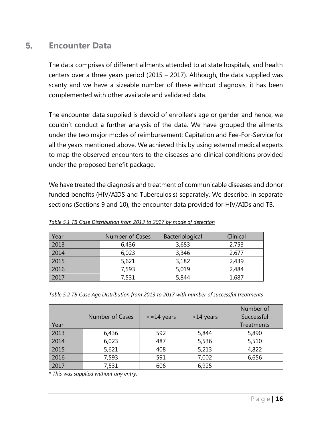### <span id="page-16-0"></span>5. **Encounter Data**

The data comprises of different ailments attended to at state hospitals, and health centers over a three years period (2015 – 2017). Although, the data supplied was scanty and we have a sizeable number of these without diagnosis, it has been complemented with other available and validated data.

The encounter data supplied is devoid of enrollee's age or gender and hence, we couldn't conduct a further analysis of the data. We have grouped the ailments under the two major modes of reimbursement; Capitation and Fee-For-Service for all the years mentioned above. We achieved this by using external medical experts to map the observed encounters to the diseases and clinical conditions provided under the proposed benefit package.

We have treated the diagnosis and treatment of communicable diseases and donor funded benefits (HIV/AIDS and Tuberculosis) separately. We describe, in separate sections (Sections 9 and 10), the encounter data provided for HIV/AIDs and TB.

| Year | <b>Number of Cases</b> | Bacteriological | Clinical |
|------|------------------------|-----------------|----------|
| 2013 | 6,436                  | 3,683           | 2,753    |
| 2014 | 6,023                  | 3,346           | 2,677    |
| 2015 | 5,621                  | 3,182           | 2,439    |
| 2016 | 7,593                  | 5,019           | 2,484    |
| 2017 | 7,531                  | 5,844           | 1,687    |

*Table 5.1 TB Case Distribution from 2013 to 2017 by mode of detection*

| Table 5.2 TB Case Age Distribution from 2013 to 2017 with number of successful treatments |  |  |
|-------------------------------------------------------------------------------------------|--|--|
|                                                                                           |  |  |

| Year | Number of Cases | $\epsilon$ =14 years | $>14$ years | Number of<br>Successful<br>Treatments |
|------|-----------------|----------------------|-------------|---------------------------------------|
| 2013 | 6,436           | 592                  | 5,844       | 5,890                                 |
| 2014 | 6,023           | 487                  | 5,536       | 5,510                                 |
| 2015 | 5,621           | 408                  | 5,213       | 4,822                                 |
| 2016 | 7,593           | 591                  | 7,002       | 6,656                                 |
| 2017 | 7,531           | 606                  | 6,925       |                                       |

*\* This was supplied without any entry.*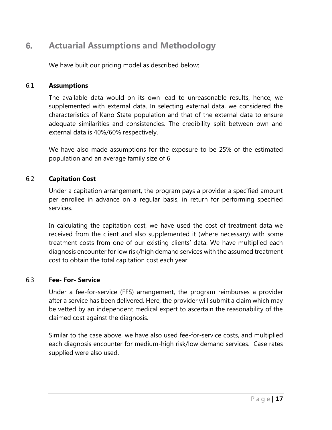# <span id="page-17-0"></span>6. **Actuarial Assumptions and Methodology**

We have built our pricing model as described below:

#### 6.1 **Assumptions**

<span id="page-17-1"></span>The available data would on its own lead to unreasonable results, hence, we supplemented with external data. In selecting external data, we considered the characteristics of Kano State population and that of the external data to ensure adequate similarities and consistencies. The credibility split between own and external data is 40%/60% respectively.

We have also made assumptions for the exposure to be 25% of the estimated population and an average family size of 6

#### 6.2 **Capitation Cost**

<span id="page-17-2"></span>Under a capitation arrangement, the program pays a provider a specified amount per enrollee in advance on a regular basis, in return for performing specified services.

In calculating the capitation cost, we have used the cost of treatment data we received from the client and also supplemented it (where necessary) with some treatment costs from one of our existing clients' data. We have multiplied each diagnosis encounter for low risk/high demand services with the assumed treatment cost to obtain the total capitation cost each year.

#### 6.3 **Fee- For- Service**

<span id="page-17-3"></span>Under a fee-for-service (FFS) arrangement, the program reimburses a provider after a service has been delivered. Here, the provider will submit a claim which may be vetted by an independent medical expert to ascertain the reasonability of the claimed cost against the diagnosis.

Similar to the case above, we have also used fee-for-service costs, and multiplied each diagnosis encounter for medium-high risk/low demand services. Case rates supplied were also used.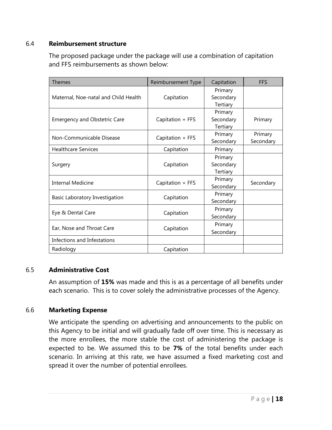#### 6.4 **Reimbursement structure**

<span id="page-18-0"></span>The proposed package under the package will use a combination of capitation and FFS reimbursements as shown below:

| <b>Themes</b>                        | Reimbursement Type | Capitation                       | <b>FFS</b>           |
|--------------------------------------|--------------------|----------------------------------|----------------------|
| Maternal, Noe-natal and Child Health | Capitation         | Primary<br>Secondary<br>Tertiary |                      |
| <b>Emergency and Obstetric Care</b>  | Capitation + FFS   | Primary<br>Secondary<br>Tertiary | Primary              |
| Non-Communicable Disease             | Capitation + FFS   | Primary<br>Secondary             | Primary<br>Secondary |
| <b>Healthcare Services</b>           | Capitation         | Primary                          |                      |
| Surgery                              | Capitation         | Primary<br>Secondary<br>Tertiary |                      |
| Internal Medicine                    | Capitation + FFS   | Primary<br>Secondary             | Secondary            |
| Basic Laboratory Investigation       | Capitation         | Primary<br>Secondary             |                      |
| Eye & Dental Care                    | Capitation         | Primary<br>Secondary             |                      |
| Ear, Nose and Throat Care            | Capitation         | Primary<br>Secondary             |                      |
| Infections and Infestations          |                    |                                  |                      |
| Radiology                            | Capitation         |                                  |                      |

#### 6.5 **Administrative Cost**

<span id="page-18-1"></span>An assumption of **15%** was made and this is as a percentage of all benefits under each scenario. This is to cover solely the administrative processes of the Agency.

#### 6.6 **Marketing Expense**

<span id="page-18-2"></span>We anticipate the spending on advertising and announcements to the public on this Agency to be initial and will gradually fade off over time. This is necessary as the more enrollees, the more stable the cost of administering the package is expected to be. We assumed this to be **7%** of the total benefits under each scenario. In arriving at this rate, we have assumed a fixed marketing cost and spread it over the number of potential enrollees.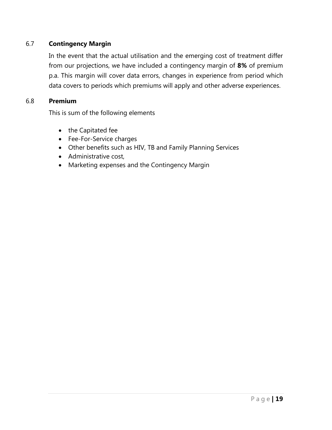#### 6.7 **Contingency Margin**

<span id="page-19-0"></span>In the event that the actual utilisation and the emerging cost of treatment differ from our projections, we have included a contingency margin of **8%** of premium p.a. This margin will cover data errors, changes in experience from period which data covers to periods which premiums will apply and other adverse experiences.

#### 6.8 **Premium**

<span id="page-19-1"></span>This is sum of the following elements

- the Capitated fee
- Fee-For-Service charges
- Other benefits such as HIV, TB and Family Planning Services
- Administrative cost,
- Marketing expenses and the Contingency Margin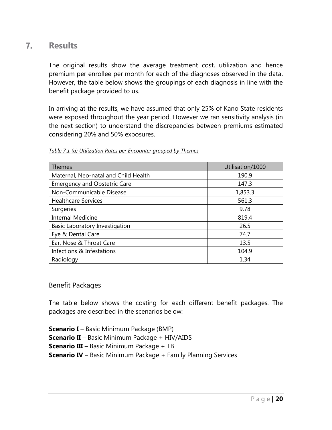### <span id="page-20-0"></span>7. **Results**

The original results show the average treatment cost, utilization and hence premium per enrollee per month for each of the diagnoses observed in the data. However, the table below shows the groupings of each diagnosis in line with the benefit package provided to us.

In arriving at the results, we have assumed that only 25% of Kano State residents were exposed throughout the year period. However we ran sensitivity analysis (in the next section) to understand the discrepancies between premiums estimated considering 20% and 50% exposures.

| Themes                                | Utilisation/1000 |
|---------------------------------------|------------------|
| Maternal, Neo-natal and Child Health  | 190.9            |
| <b>Emergency and Obstetric Care</b>   | 147.3            |
| Non-Communicable Disease              | 1,853.3          |
| <b>Healthcare Services</b>            | 561.3            |
| Surgeries                             | 9.78             |
| <b>Internal Medicine</b>              | 819.4            |
| <b>Basic Laboratory Investigation</b> | 26.5             |
| Eye & Dental Care                     | 74.7             |
| Ear, Nose & Throat Care               | 13.5             |
| Infections & Infestations             | 104.9            |
| Radiology                             | 1.34             |

#### *Table 7.1 (a) Utilization Rates per Encounter grouped by Themes*

Benefit Packages

The table below shows the costing for each different benefit packages. The packages are described in the scenarios below:

**Scenario I** – Basic Minimum Package (BMP) **Scenario II** – Basic Minimum Package + HIV/AIDS **Scenario III** – Basic Minimum Package + TB **Scenario IV** – Basic Minimum Package + Family Planning Services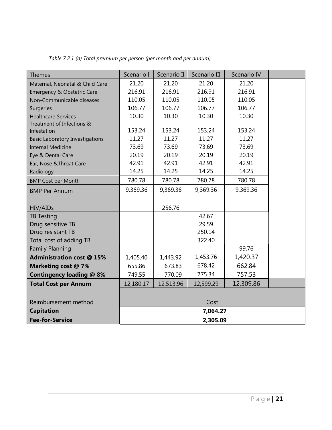| Themes                                 | Scenario I | Scenario II | Scenario III | Scenario IV |  |
|----------------------------------------|------------|-------------|--------------|-------------|--|
| Maternal, Neonatal & Child Care        | 21.20      | 21.20       | 21.20        | 21.20       |  |
| Emergency & Obstetric Care             | 216.91     | 216.91      | 216.91       | 216.91      |  |
| Non-Communicable diseases              | 110.05     | 110.05      | 110.05       | 110.05      |  |
| <b>Surgeries</b>                       | 106.77     | 106.77      | 106.77       | 106.77      |  |
| <b>Healthcare Services</b>             | 10.30      | 10.30       | 10.30        | 10.30       |  |
| Treatment of Infections &              |            |             |              |             |  |
| Infestation                            | 153.24     | 153.24      | 153.24       | 153.24      |  |
| <b>Basic Laboratory Investigations</b> | 11.27      | 11.27       | 11.27        | 11.27       |  |
| <b>Internal Medicine</b>               | 73.69      | 73.69       | 73.69        | 73.69       |  |
| Eye & Dental Care                      | 20.19      | 20.19       | 20.19        | 20.19       |  |
| Ear, Nose & Throat Care                | 42.91      | 42.91       | 42.91        | 42.91       |  |
| Radiology                              | 14.25      | 14.25       | 14.25        | 14.25       |  |
| <b>BMP Cost per Month</b>              | 780.78     | 780.78      | 780.78       | 780.78      |  |
| <b>BMP Per Annum</b>                   | 9,369.36   | 9,369.36    | 9,369.36     | 9,369.36    |  |
|                                        |            |             |              |             |  |
| HIV/AIDs                               |            | 256.76      |              |             |  |
| <b>TB Testing</b>                      |            |             | 42.67        |             |  |
| Drug sensitive TB                      |            |             | 29.59        |             |  |
| Drug resistant TB                      |            |             | 250.14       |             |  |
| Total cost of adding TB                |            |             | 322.40       |             |  |
| <b>Family Planning</b>                 |            |             |              | 99.76       |  |
| <b>Administration cost @ 15%</b>       | 1,405.40   | 1,443.92    | 1,453.76     | 1,420.37    |  |
| <b>Marketing cost @ 7%</b>             | 655.86     | 673.83      | 678.42       | 662.84      |  |
| <b>Contingency loading @ 8%</b>        | 749.55     | 770.09      | 775.34       | 757.53      |  |
| <b>Total Cost per Annum</b>            | 12,180.17  | 12,513.96   | 12,599.29    | 12,309.86   |  |
|                                        |            |             |              |             |  |
| Reimbursement method                   | Cost       |             |              |             |  |
| <b>Capitation</b>                      | 7,064.27   |             |              |             |  |
| <b>Fee-for-Service</b>                 | 2,305.09   |             |              |             |  |

*Table 7.2.1 (a) Total premium per person (per month and per annum)*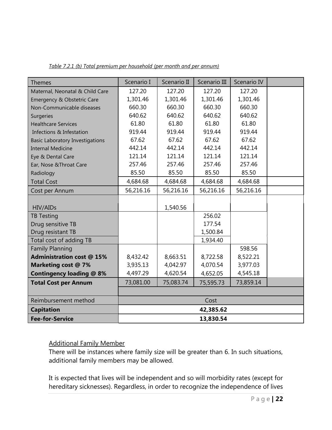| <b>Themes</b>                          | Scenario I | Scenario II | Scenario III | Scenario IV |  |
|----------------------------------------|------------|-------------|--------------|-------------|--|
| Maternal, Neonatal & Child Care        | 127.20     | 127.20      | 127.20       | 127.20      |  |
| Emergency & Obstetric Care             | 1,301.46   | 1,301.46    | 1,301.46     | 1,301.46    |  |
| Non-Communicable diseases              | 660.30     | 660.30      | 660.30       | 660.30      |  |
| <b>Surgeries</b>                       | 640.62     | 640.62      | 640.62       | 640.62      |  |
| <b>Healthcare Services</b>             | 61.80      | 61.80       | 61.80        | 61.80       |  |
| Infections & Infestation               | 919.44     | 919.44      | 919.44       | 919.44      |  |
| <b>Basic Laboratory Investigations</b> | 67.62      | 67.62       | 67.62        | 67.62       |  |
| <b>Internal Medicine</b>               | 442.14     | 442.14      | 442.14       | 442.14      |  |
| Eye & Dental Care                      | 121.14     | 121.14      | 121.14       | 121.14      |  |
| Ear, Nose & Throat Care                | 257.46     | 257.46      | 257.46       | 257.46      |  |
| Radiology                              | 85.50      | 85.50       | 85.50        | 85.50       |  |
| <b>Total Cost</b>                      | 4,684.68   | 4,684.68    | 4,684.68     | 4,684.68    |  |
| Cost per Annum                         | 56,216.16  | 56,216.16   | 56,216.16    | 56,216.16   |  |
|                                        |            |             |              |             |  |
| HIV/AIDs                               |            | 1,540.56    |              |             |  |
| <b>TB Testing</b>                      |            |             | 256.02       |             |  |
| Drug sensitive TB                      |            |             | 177.54       |             |  |
| Drug resistant TB                      |            |             | 1,500.84     |             |  |
| Total cost of adding TB                |            |             | 1,934.40     |             |  |
| <b>Family Planning</b>                 |            |             |              | 598.56      |  |
| <b>Administration cost @ 15%</b>       | 8,432.42   | 8,663.51    | 8,722.58     | 8,522.21    |  |
| Marketing cost @ 7%                    | 3,935.13   | 4,042.97    | 4,070.54     | 3,977.03    |  |
| <b>Contingency loading @ 8%</b>        | 4,497.29   | 4,620.54    | 4,652.05     | 4,545.18    |  |
| <b>Total Cost per Annum</b>            | 73,081.00  | 75,083.74   | 75,595.73    | 73,859.14   |  |
|                                        |            |             |              |             |  |
| Reimbursement method                   | Cost       |             |              |             |  |
| <b>Capitation</b>                      | 42,385.62  |             |              |             |  |
| <b>Fee-for-Service</b>                 |            |             | 13,830.54    |             |  |

*Table 7.2.1 (b) Total premium per household (per month and per annum)*

Additional Family Member

There will be instances where family size will be greater than 6. In such situations, additional family members may be allowed.

It is expected that lives will be independent and so will morbidity rates (except for hereditary sicknesses). Regardless, in order to recognize the independence of lives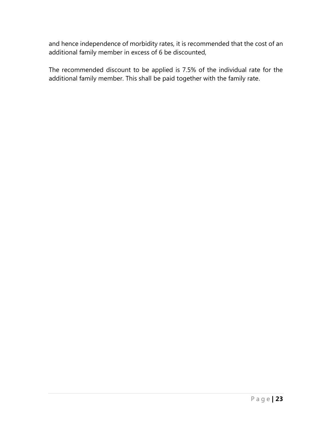and hence independence of morbidity rates, it is recommended that the cost of an additional family member in excess of 6 be discounted,

The recommended discount to be applied is 7.5% of the individual rate for the additional family member. This shall be paid together with the family rate.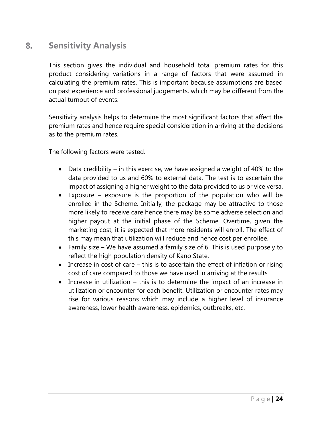### <span id="page-24-0"></span>8. **Sensitivity Analysis**

This section gives the individual and household total premium rates for this product considering variations in a range of factors that were assumed in calculating the premium rates. This is important because assumptions are based on past experience and professional judgements, which may be different from the actual turnout of events.

Sensitivity analysis helps to determine the most significant factors that affect the premium rates and hence require special consideration in arriving at the decisions as to the premium rates.

The following factors were tested.

- Data credibility in this exercise, we have assigned a weight of 40% to the data provided to us and 60% to external data. The test is to ascertain the impact of assigning a higher weight to the data provided to us or vice versa.
- Exposure exposure is the proportion of the population who will be enrolled in the Scheme. Initially, the package may be attractive to those more likely to receive care hence there may be some adverse selection and higher payout at the initial phase of the Scheme. Overtime, given the marketing cost, it is expected that more residents will enroll. The effect of this may mean that utilization will reduce and hence cost per enrollee.
- Family size We have assumed a family size of 6. This is used purposely to reflect the high population density of Kano State.
- Increase in cost of care  $-$  this is to ascertain the effect of inflation or rising cost of care compared to those we have used in arriving at the results
- Increase in utilization this is to determine the impact of an increase in utilization or encounter for each benefit. Utilization or encounter rates may rise for various reasons which may include a higher level of insurance awareness, lower health awareness, epidemics, outbreaks, etc.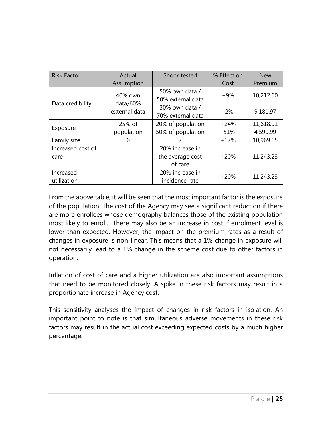| <b>Risk Factor</b> | Actual                    | Shock tested                        | % Effect on | <b>New</b> |
|--------------------|---------------------------|-------------------------------------|-------------|------------|
|                    | Assumption                |                                     | Cost        | Premium    |
|                    | 40% own                   | 50% own data /<br>50% external data | +9%         | 10,212.60  |
| Data credibility   | data/60%<br>external data | 30% own data /<br>70% external data | $-2%$       | 9,181.97   |
|                    | 25% of                    | 20% of population                   | $+24%$      | 11,618.01  |
| Exposure           | population                | 50% of population                   | $-51%$      | 4,590.99   |
| Family size        | 6                         |                                     | $+17%$      | 10,969.15  |
| Increased cost of  |                           | 20% increase in                     |             |            |
| care               |                           | the average cost                    | $+20%$      | 11,243.23  |
|                    |                           | of care                             |             |            |
| Increased          |                           | 20% increase in                     | $+20%$      | 11,243.23  |
| utilization        |                           | incidence rate                      |             |            |

From the above table, it will be seen that the most important factor is the exposure of the population. The cost of the Agency may see a significant reduction if there are more enrollees whose demography balances those of the existing population most likely to enroll. There may also be an increase in cost if enrolment level is lower than expected. However, the impact on the premium rates as a result of changes in exposure is non-linear. This means that a 1% change in exposure will not necessarily lead to a 1% change in the scheme cost due to other factors in operation.

Inflation of cost of care and a higher utilization are also important assumptions that need to be monitored closely. A spike in these risk factors may result in a proportionate increase in Agency cost.

This sensitivity analyses the impact of changes in risk factors in isolation. An important point to note is that simultaneous adverse movements in these risk factors may result in the actual cost exceeding expected costs by a much higher percentage.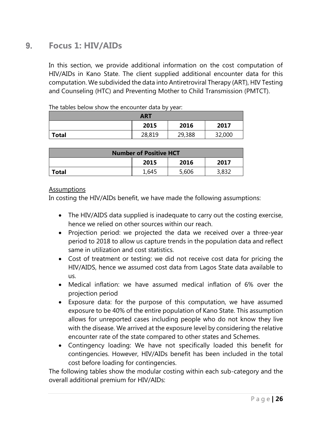### <span id="page-26-0"></span>9. **Focus 1: HIV/AIDs**

In this section, we provide additional information on the cost computation of HIV/AIDs in Kano State. The client supplied additional encounter data for this computation. We subdivided the data into Antiretroviral Therapy (ART), HIV Testing and Counseling (HTC) and Preventing Mother to Child Transmission (PMTCT).

| <b>ART</b>           |        |        |        |  |
|----------------------|--------|--------|--------|--|
| 2015<br>2016<br>2017 |        |        |        |  |
| Total                | 28,819 | 29,388 | 32,000 |  |

| The tables below show the encounter data by year: |
|---------------------------------------------------|
|---------------------------------------------------|

| <b>Number of Positive HCT</b> |       |       |       |
|-------------------------------|-------|-------|-------|
|                               | 2015  | 2016  | 2017  |
| <b>Total</b>                  | 1.645 | 5,606 | 3 832 |

#### **Assumptions**

In costing the HIV/AIDs benefit, we have made the following assumptions:

- The HIV/AIDS data supplied is inadequate to carry out the costing exercise, hence we relied on other sources within our reach.
- Projection period: we projected the data we received over a three-year period to 2018 to allow us capture trends in the population data and reflect same in utilization and cost statistics.
- Cost of treatment or testing: we did not receive cost data for pricing the HIV/AIDS, hence we assumed cost data from Lagos State data available to us.
- Medical inflation: we have assumed medical inflation of 6% over the projection period
- Exposure data: for the purpose of this computation, we have assumed exposure to be 40% of the entire population of Kano State. This assumption allows for unreported cases including people who do not know they live with the disease. We arrived at the exposure level by considering the relative encounter rate of the state compared to other states and Schemes.
- Contingency loading: We have not specifically loaded this benefit for contingencies. However, HIV/AIDs benefit has been included in the total cost before loading for contingencies.

The following tables show the modular costing within each sub-category and the overall additional premium for HIV/AIDs: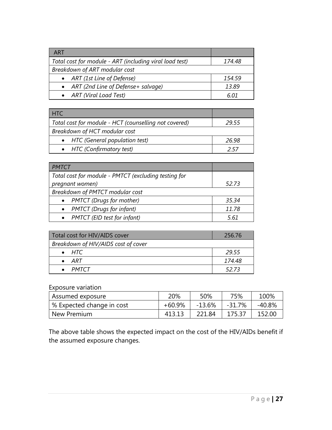| ART                                                     |        |
|---------------------------------------------------------|--------|
| Total cost for module - ART (including viral load test) | 174.48 |
| Breakdown of ART modular cost                           |        |
| • ART (1st Line of Defense)                             | 154.59 |
| • ART (2nd Line of Defense + salvage)                   | 13.89  |
| • ART (Viral Load Test)                                 |        |

| I HTC                                                 |       |
|-------------------------------------------------------|-------|
| Total cost for module - HCT (counselling not covered) | 29.55 |
| Breakdown of HCT modular cost                         |       |
| • HTC (General population test)                       | 26.98 |
| • HTC (Confirmatory test)                             | フトコ   |

| <b>PMTCT</b>                                         |       |
|------------------------------------------------------|-------|
| Total cost for module - PMTCT (excluding testing for |       |
| pregnant women)                                      | 52.73 |
| Breakdown of PMTCT modular cost                      |       |
| • PMTCT (Drugs for mother)                           | 35.34 |
| • PMTCT (Drugs for infant)                           | 11.78 |
| • PMTCT (EID test for infant)                        | 5 61  |

| Total cost for HIV/AIDS cover       | 256.76 |
|-------------------------------------|--------|
| Breakdown of HIV/AIDS cost of cover |        |
| $\bullet$ HTC                       | 29.55  |
| $\bullet$ ART                       | 174.48 |
| PMTCT                               | 52.73  |

#### Exposure variation

| Assumed exposure          | 20%    | 50%    | 75%    | 100%   |
|---------------------------|--------|--------|--------|--------|
| S Expected change in cost | +60.9% | -13.6% | -31.7% | -40.8% |
| New Premium               | 413.13 | 221.84 | 175.37 | 152.00 |

The above table shows the expected impact on the cost of the HIV/AIDs benefit if the assumed exposure changes.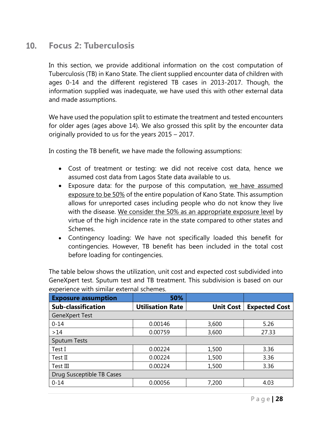### <span id="page-28-0"></span>10. **Focus 2: Tuberculosis**

In this section, we provide additional information on the cost computation of Tuberculosis (TB) in Kano State. The client supplied encounter data of children with ages 0-14 and the different registered TB cases in 2013-2017. Though, the information supplied was inadequate, we have used this with other external data and made assumptions.

We have used the population split to estimate the treatment and tested encounters for older ages (ages above 14). We also grossed this split by the encounter data originally provided to us for the years 2015 – 2017.

In costing the TB benefit, we have made the following assumptions:

- Cost of treatment or testing: we did not receive cost data, hence we assumed cost data from Lagos State data available to us.
- Exposure data: for the purpose of this computation, we have assumed exposure to be 50% of the entire population of Kano State. This assumption allows for unreported cases including people who do not know they live with the disease. We consider the 50% as an appropriate exposure level by virtue of the high incidence rate in the state compared to other states and Schemes.
- Contingency loading: We have not specifically loaded this benefit for contingencies. However, TB benefit has been included in the total cost before loading for contingencies.

| <b>Exposure assumption</b> | 50%                     |           |                      |
|----------------------------|-------------------------|-----------|----------------------|
| <b>Sub-classification</b>  | <b>Utilisation Rate</b> | Unit Cost | <b>Expected Cost</b> |
| <b>GeneXpert Test</b>      |                         |           |                      |
| $0 - 14$                   | 0.00146                 | 3,600     | 5.26                 |
| $>14$                      | 0.00759                 | 3,600     | 27.33                |
| <b>Sputum Tests</b>        |                         |           |                      |
| Test I                     | 0.00224                 | 1,500     | 3.36                 |
| Test II                    | 0.00224                 | 1,500     | 3.36                 |
| Test III                   | 0.00224                 | 1,500     | 3.36                 |
| Drug Susceptible TB Cases  |                         |           |                      |
| $0 - 14$                   | 0.00056                 | 7,200     | 4.03                 |

The table below shows the utilization, unit cost and expected cost subdivided into GeneXpert test. Sputum test and TB treatment. This subdivision is based on our experience with similar external schemes.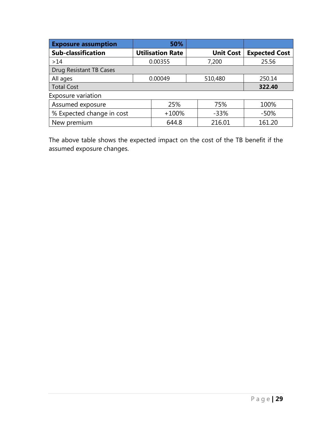| <b>Exposure assumption</b> |  | 50%                     |  |                  |                      |
|----------------------------|--|-------------------------|--|------------------|----------------------|
| <b>Sub-classification</b>  |  | <b>Utilisation Rate</b> |  | <b>Unit Cost</b> | <b>Expected Cost</b> |
| $>14$                      |  | 0.00355                 |  | 7,200            | 25.56                |
| Drug Resistant TB Cases    |  |                         |  |                  |                      |
| All ages                   |  | 0.00049<br>510,480      |  | 250.14           |                      |
| <b>Total Cost</b>          |  |                         |  |                  | 322.40               |
| <b>Exposure variation</b>  |  |                         |  |                  |                      |
| Assumed exposure           |  | 25%                     |  | 75%              | 100%                 |
| % Expected change in cost  |  | $+100%$                 |  | $-33%$           | $-50%$               |
| New premium                |  | 644.8                   |  | 216.01           | 161.20               |

The above table shows the expected impact on the cost of the TB benefit if the assumed exposure changes.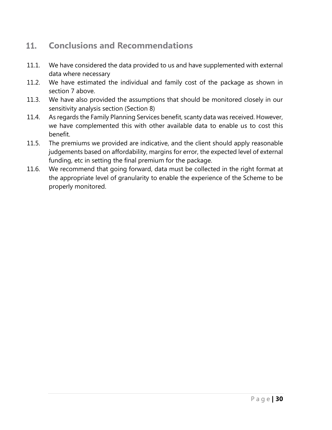# <span id="page-30-0"></span>11. **Conclusions and Recommendations**

- 11.1. We have considered the data provided to us and have supplemented with external data where necessary
- 11.2. We have estimated the individual and family cost of the package as shown in section 7 above.
- 11.3. We have also provided the assumptions that should be monitored closely in our sensitivity analysis section (Section 8)
- 11.4. As regards the Family Planning Services benefit, scanty data was received. However, we have complemented this with other available data to enable us to cost this benefit.
- 11.5. The premiums we provided are indicative, and the client should apply reasonable judgements based on affordability, margins for error, the expected level of external funding, etc in setting the final premium for the package.
- 11.6. We recommend that going forward, data must be collected in the right format at the appropriate level of granularity to enable the experience of the Scheme to be properly monitored.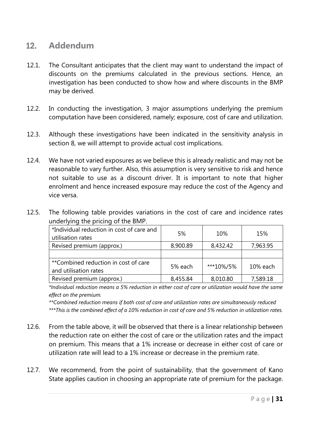### <span id="page-31-0"></span>12. **Addendum**

- 12.1. The Consultant anticipates that the client may want to understand the impact of discounts on the premiums calculated in the previous sections. Hence, an investigation has been conducted to show how and where discounts in the BMP may be derived.
- 12.2. In conducting the investigation, 3 major assumptions underlying the premium computation have been considered, namely; exposure, cost of care and utilization.
- 12.3. Although these investigations have been indicated in the sensitivity analysis in section 8, we will attempt to provide actual cost implications.
- 12.4. We have not varied exposures as we believe this is already realistic and may not be reasonable to vary further. Also, this assumption is very sensitive to risk and hence not suitable to use as a discount driver. It is important to note that higher enrolment and hence increased exposure may reduce the cost of the Agency and vice versa.
- 12.5. The following table provides variations in the cost of care and incidence rates underlying the pricing of the BMP.

| *Individual reduction in cost of care and<br>utilisation rates | 5%       | 10%       | 15%      |
|----------------------------------------------------------------|----------|-----------|----------|
| Revised premium (approx.)                                      | 8,900.89 | 8,432.42  | 7,963.95 |
|                                                                |          |           |          |
| **Combined reduction in cost of care<br>and utilisation rates  | 5% each  | ***10%/5% | 10% each |
| Revised premium (approx.)                                      | 8,455.84 | 8,010.80  | 7,589.18 |

*\*Individual reduction means a 5% reduction in either cost of care or utilization would have the same effect on the premium.*

*\*\*Combined reduction means if both cost of care and utilization rates are simultaneously reduced \*\*\*This is the combined effect of a 10% reduction in cost of care and 5% reduction in utilization rates.*

- 12.6. From the table above, it will be observed that there is a linear relationship between the reduction rate on either the cost of care or the utilization rates and the impact on premium. This means that a 1% increase or decrease in either cost of care or utilization rate will lead to a 1% increase or decrease in the premium rate.
- 12.7. We recommend, from the point of sustainability, that the government of Kano State applies caution in choosing an appropriate rate of premium for the package.